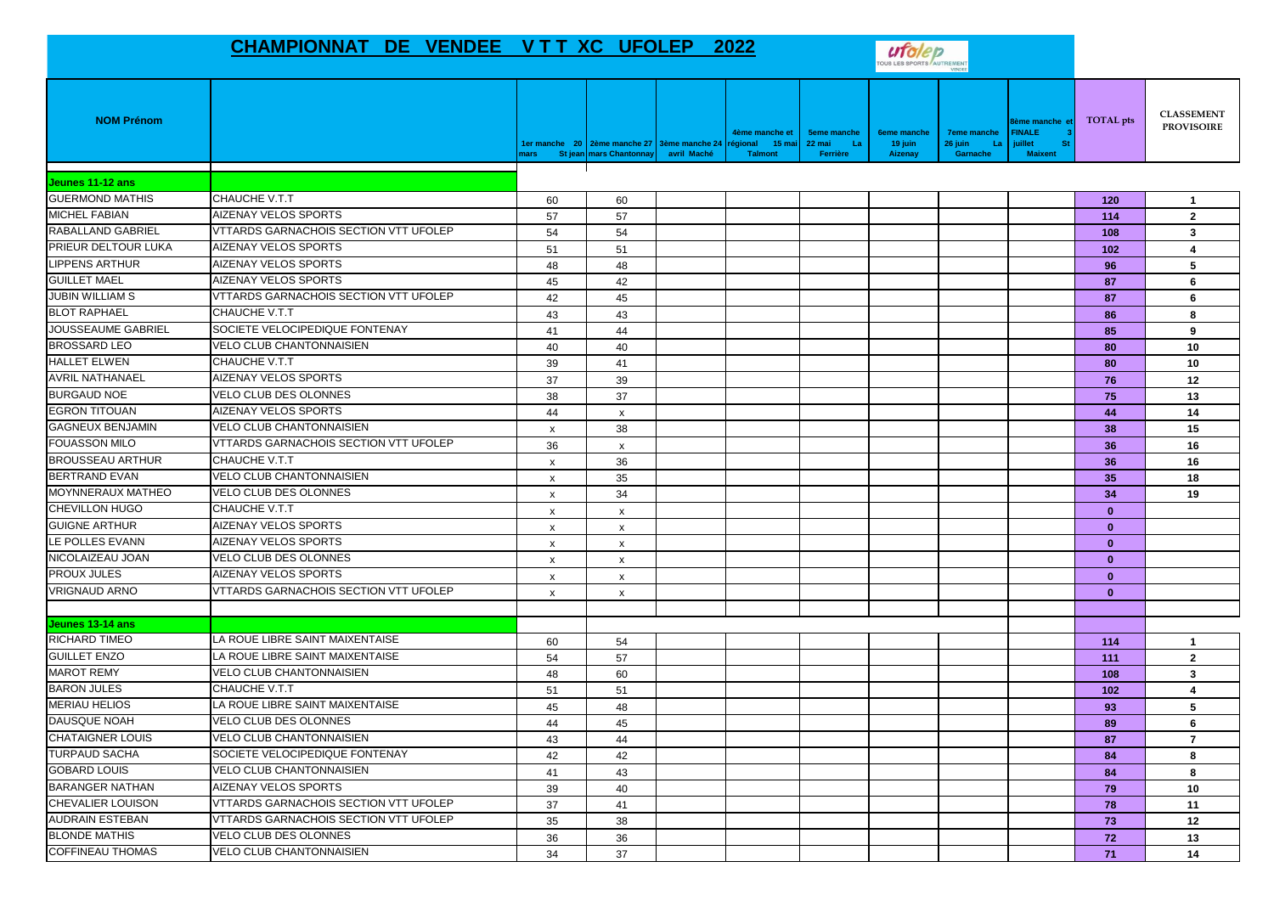## **CHAMPIONNAT DE VENDEE V T T XC UFOLEP 2022**



| <b>NOM Prénom</b>        |                                              | nars                      | 1er manche 20 2ème manche 27 3ème manche 24 régional<br>St jean mars Chantonnay | avril Maché | 4ème manche et<br>15 mai<br><b>Talmont</b> | <b>5eme manche</b><br>22 mai<br>- La<br>Ferrière | <b>6eme manche</b><br>19 juin<br>Aizenay | <b>7eme manche</b><br>26 juin<br>La<br>Garnache | ème manche e<br><b>FINALE</b><br><b>juillet</b><br><b>St</b><br><b>Maixent</b> | <b>TOTAL</b> pts | <b>CLASSEMENT</b><br><b>PROVISOIRE</b> |
|--------------------------|----------------------------------------------|---------------------------|---------------------------------------------------------------------------------|-------------|--------------------------------------------|--------------------------------------------------|------------------------------------------|-------------------------------------------------|--------------------------------------------------------------------------------|------------------|----------------------------------------|
| Jeunes 11-12 ans         |                                              |                           |                                                                                 |             |                                            |                                                  |                                          |                                                 |                                                                                |                  |                                        |
| <b>GUERMOND MATHIS</b>   | <b>CHAUCHE V.T.T</b>                         | 60                        | 60                                                                              |             |                                            |                                                  |                                          |                                                 |                                                                                | 120              | $\mathbf{1}$                           |
| <b>MICHEL FABIAN</b>     | <b>AIZENAY VELOS SPORTS</b>                  | 57                        | 57                                                                              |             |                                            |                                                  |                                          |                                                 |                                                                                | 114              | $\overline{2}$                         |
| RABALLAND GABRIEL        | VTTARDS GARNACHOIS SECTION VTT UFOLEP        | 54                        | 54                                                                              |             |                                            |                                                  |                                          |                                                 |                                                                                | 108              | 3                                      |
| PRIEUR DELTOUR LUKA      | <b>AIZENAY VELOS SPORTS</b>                  | 51                        | 51                                                                              |             |                                            |                                                  |                                          |                                                 |                                                                                | 102              | 4                                      |
| <b>LIPPENS ARTHUR</b>    | AIZENAY VELOS SPORTS                         | 48                        | 48                                                                              |             |                                            |                                                  |                                          |                                                 |                                                                                | 96               | 5                                      |
| <b>GUILLET MAEL</b>      | <b>AIZENAY VELOS SPORTS</b>                  | 45                        | 42                                                                              |             |                                            |                                                  |                                          |                                                 |                                                                                | 87               | 6                                      |
| <b>JUBIN WILLIAM S</b>   | VTTARDS GARNACHOIS SECTION VTT UFOLEP        | 42                        | 45                                                                              |             |                                            |                                                  |                                          |                                                 |                                                                                | 87               | 6                                      |
| <b>BLOT RAPHAEL</b>      | <b>CHAUCHE V.T.T</b>                         | 43                        | 43                                                                              |             |                                            |                                                  |                                          |                                                 |                                                                                | 86               | 8                                      |
| JOUSSEAUME GABRIEL       | SOCIETE VELOCIPEDIQUE FONTENAY               | 41                        | 44                                                                              |             |                                            |                                                  |                                          |                                                 |                                                                                | 85               | 9                                      |
| <b>BROSSARD LEO</b>      | <b>VELO CLUB CHANTONNAISIEN</b>              | 40                        | 40                                                                              |             |                                            |                                                  |                                          |                                                 |                                                                                | 80               | 10                                     |
| <b>HALLET ELWEN</b>      | <b>CHAUCHE V.T.T</b>                         | 39                        | 41                                                                              |             |                                            |                                                  |                                          |                                                 |                                                                                | 80               | 10                                     |
| <b>AVRIL NATHANAEL</b>   | <b>AIZENAY VELOS SPORTS</b>                  | 37                        | 39                                                                              |             |                                            |                                                  |                                          |                                                 |                                                                                | 76               | 12                                     |
| <b>BURGAUD NOE</b>       | <b>VELO CLUB DES OLONNES</b>                 | 38                        | 37                                                                              |             |                                            |                                                  |                                          |                                                 |                                                                                | 75               | 13                                     |
| <b>EGRON TITOUAN</b>     | AIZENAY VELOS SPORTS                         | 44                        | $\pmb{\times}$                                                                  |             |                                            |                                                  |                                          |                                                 |                                                                                | 44               | 14                                     |
| <b>GAGNEUX BENJAMIN</b>  | <b>VELO CLUB CHANTONNAISIEN</b>              | $\boldsymbol{\mathsf{x}}$ | 38                                                                              |             |                                            |                                                  |                                          |                                                 |                                                                                | 38               | 15                                     |
| <b>FOUASSON MILO</b>     | VTTARDS GARNACHOIS SECTION VTT UFOLEP        | 36                        | $\pmb{\times}$                                                                  |             |                                            |                                                  |                                          |                                                 |                                                                                | 36               | 16                                     |
| <b>BROUSSEAU ARTHUR</b>  | CHAUCHE V.T.T                                | $\boldsymbol{\mathsf{x}}$ | 36                                                                              |             |                                            |                                                  |                                          |                                                 |                                                                                | 36               | 16                                     |
| <b>BERTRAND EVAN</b>     | VELO CLUB CHANTONNAISIEN                     | $\boldsymbol{\mathsf{x}}$ | 35                                                                              |             |                                            |                                                  |                                          |                                                 |                                                                                | 35               | 18                                     |
| <b>MOYNNERAUX MATHEO</b> | <b>VELO CLUB DES OLONNES</b>                 | $\boldsymbol{\mathsf{x}}$ | 34                                                                              |             |                                            |                                                  |                                          |                                                 |                                                                                | 34               | 19                                     |
| <b>CHEVILLON HUGO</b>    | <b>CHAUCHE V.T.T</b>                         | X                         | $\pmb{\times}$                                                                  |             |                                            |                                                  |                                          |                                                 |                                                                                | $\mathbf{0}$     |                                        |
| <b>GUIGNE ARTHUR</b>     | <b>AIZENAY VELOS SPORTS</b>                  | $\boldsymbol{\mathsf{x}}$ | $\mathsf{x}$                                                                    |             |                                            |                                                  |                                          |                                                 |                                                                                | $\mathbf{0}$     |                                        |
| LE POLLES EVANN          | <b>AIZENAY VELOS SPORTS</b>                  | X                         | $\boldsymbol{\mathsf{x}}$                                                       |             |                                            |                                                  |                                          |                                                 |                                                                                | $\mathbf{0}$     |                                        |
| NICOLAIZEAU JOAN         | <b>VELO CLUB DES OLONNES</b>                 | $\boldsymbol{\mathsf{x}}$ | $\pmb{\times}$                                                                  |             |                                            |                                                  |                                          |                                                 |                                                                                | $\mathbf{0}$     |                                        |
| <b>PROUX JULES</b>       | <b>AIZENAY VELOS SPORTS</b>                  | $\mathsf{x}$              | $\mathsf{x}$                                                                    |             |                                            |                                                  |                                          |                                                 |                                                                                | $\mathbf{0}$     |                                        |
| <b>VRIGNAUD ARNO</b>     | VTTARDS GARNACHOIS SECTION VTT UFOLEP        | $\boldsymbol{\mathsf{x}}$ | $\pmb{\chi}$                                                                    |             |                                            |                                                  |                                          |                                                 |                                                                                | $\mathbf{0}$     |                                        |
|                          |                                              |                           |                                                                                 |             |                                            |                                                  |                                          |                                                 |                                                                                |                  |                                        |
| Jeunes 13-14 ans         |                                              |                           |                                                                                 |             |                                            |                                                  |                                          |                                                 |                                                                                |                  |                                        |
| <b>RICHARD TIMEO</b>     | LA ROUE LIBRE SAINT MAIXENTAISE              | 60                        | 54                                                                              |             |                                            |                                                  |                                          |                                                 |                                                                                | 114              | $\overline{1}$                         |
| <b>GUILLET ENZO</b>      | LA ROUE LIBRE SAINT MAIXENTAISE              | 54                        | 57                                                                              |             |                                            |                                                  |                                          |                                                 |                                                                                | 111              | $\mathbf{2}$                           |
| <b>MAROT REMY</b>        | VELO CLUB CHANTONNAISIEN                     | 48                        | 60                                                                              |             |                                            |                                                  |                                          |                                                 |                                                                                | 108              | 3                                      |
| <b>BARON JULES</b>       | <b>CHAUCHE V.T.T</b>                         | 51                        | 51                                                                              |             |                                            |                                                  |                                          |                                                 |                                                                                | 102              | $\overline{\mathbf{4}}$                |
| <b>MERIAU HELIOS</b>     | LA ROUE LIBRE SAINT MAIXENTAISE              | 45                        | 48                                                                              |             |                                            |                                                  |                                          |                                                 |                                                                                | 93               | 5                                      |
| <b>DAUSQUE NOAH</b>      | <b>VELO CLUB DES OLONNES</b>                 | 44                        | 45                                                                              |             |                                            |                                                  |                                          |                                                 |                                                                                | 89               | 6                                      |
| <b>CHATAIGNER LOUIS</b>  | <b>VELO CLUB CHANTONNAISIEN</b>              | 43                        | 44                                                                              |             |                                            |                                                  |                                          |                                                 |                                                                                | 87               | $\overline{7}$                         |
| <b>TURPAUD SACHA</b>     | SOCIETE VELOCIPEDIQUE FONTENAY               | 42                        | 42                                                                              |             |                                            |                                                  |                                          |                                                 |                                                                                | 84               | 8                                      |
| <b>GOBARD LOUIS</b>      | <b>VELO CLUB CHANTONNAISIEN</b>              | 41                        | 43                                                                              |             |                                            |                                                  |                                          |                                                 |                                                                                | 84               | 8                                      |
| <b>BARANGER NATHAN</b>   | <b>AIZENAY VELOS SPORTS</b>                  | 39                        | 40                                                                              |             |                                            |                                                  |                                          |                                                 |                                                                                | 79               | 10                                     |
| <b>CHEVALIER LOUISON</b> | VTTARDS GARNACHOIS SECTION VTT UFOLEP        | 37                        | 41                                                                              |             |                                            |                                                  |                                          |                                                 |                                                                                | 78               | 11                                     |
| <b>AUDRAIN ESTEBAN</b>   | <b>VTTARDS GARNACHOIS SECTION VTT UFOLEP</b> | 35                        | 38                                                                              |             |                                            |                                                  |                                          |                                                 |                                                                                | 73               | 12                                     |
| <b>BLONDE MATHIS</b>     | VELO CLUB DES OLONNES                        | 36                        | 36                                                                              |             |                                            |                                                  |                                          |                                                 |                                                                                | 72               | 13                                     |
| <b>COFFINEAU THOMAS</b>  | <b>VELO CLUB CHANTONNAISIEN</b>              | 34                        | 37                                                                              |             |                                            |                                                  |                                          |                                                 |                                                                                | 71               | 14                                     |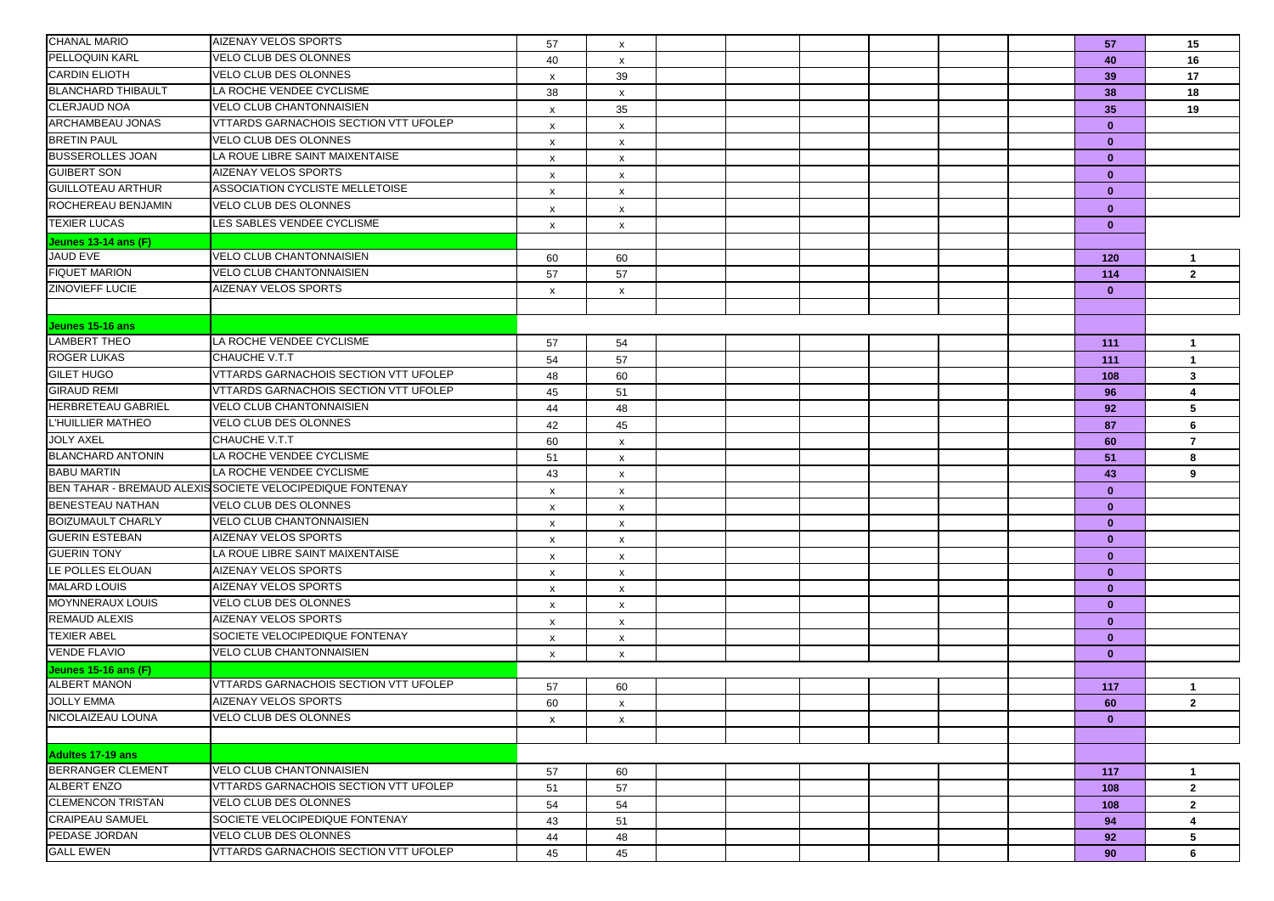| <b>CHANAL MARIO</b>       | <b>AIZENAY VELOS SPORTS</b>                               | 57                        | x                         |  |  |  | 57           | 15                             |
|---------------------------|-----------------------------------------------------------|---------------------------|---------------------------|--|--|--|--------------|--------------------------------|
| PELLOQUIN KARL            | VELO CLUB DES OLONNES                                     | 40                        | x                         |  |  |  | 40           | 16                             |
| <b>CARDIN ELIOTH</b>      | VELO CLUB DES OLONNES                                     | $\boldsymbol{\mathsf{x}}$ | 39                        |  |  |  | 39           | 17                             |
| <b>BLANCHARD THIBAULT</b> | LA ROCHE VENDEE CYCLISME                                  | 38                        |                           |  |  |  | 38           | 18                             |
| <b>CLERJAUD NOA</b>       | VELO CLUB CHANTONNAISIEN                                  |                           | $\mathsf{x}$              |  |  |  |              | 19                             |
| ARCHAMBEAU JONAS          | VTTARDS GARNACHOIS SECTION VTT UFOLEP                     | x                         | 35                        |  |  |  | 35           |                                |
| <b>BRETIN PAUL</b>        | VELO CLUB DES OLONNES                                     | x                         | X                         |  |  |  | $\mathbf{0}$ |                                |
| <b>BUSSEROLLES JOAN</b>   | LA ROUE LIBRE SAINT MAIXENTAISE                           | $\boldsymbol{\mathsf{x}}$ | x                         |  |  |  | $\mathbf{0}$ |                                |
| <b>GUIBERT SON</b>        | AIZENAY VELOS SPORTS                                      | $\boldsymbol{\mathsf{x}}$ | x                         |  |  |  | $\mathbf{0}$ |                                |
| <b>GUILLOTEAU ARTHUR</b>  |                                                           | $\boldsymbol{\mathsf{x}}$ | x                         |  |  |  | $\mathbf{0}$ |                                |
|                           | ASSOCIATION CYCLISTE MELLETOISE                           | X                         | x                         |  |  |  | $\mathbf{0}$ |                                |
| ROCHEREAU BENJAMIN        | <b>VELO CLUB DES OLONNES</b>                              | х                         | x                         |  |  |  | $\bf{0}$     |                                |
| <b>TEXIER LUCAS</b>       | LES SABLES VENDEE CYCLISME                                | X                         | x                         |  |  |  | $\mathbf{0}$ |                                |
| Jeunes 13-14 ans (F)      |                                                           |                           |                           |  |  |  |              |                                |
| JAUD EVE                  | <b>VELO CLUB CHANTONNAISIEN</b>                           | 60                        | 60                        |  |  |  | 120          | $\mathbf{1}$                   |
| <b>FIQUET MARION</b>      | <b>VELO CLUB CHANTONNAISIEN</b>                           | 57                        | 57                        |  |  |  | 114          | $\overline{2}$                 |
| <b>ZINOVIEFF LUCIE</b>    | AIZENAY VELOS SPORTS                                      | X                         | x                         |  |  |  | $\mathbf{0}$ |                                |
|                           |                                                           |                           |                           |  |  |  |              |                                |
| Jeunes 15-16 ans          |                                                           |                           |                           |  |  |  |              |                                |
| LAMBERT THEO              | LA ROCHE VENDEE CYCLISME                                  | 57                        | 54                        |  |  |  | 111          | $\mathbf{1}$                   |
| <b>ROGER LUKAS</b>        | CHAUCHE V.T.T                                             | 54                        | 57                        |  |  |  | 111          | $\mathbf{1}$                   |
| <b>GILET HUGO</b>         | VTTARDS GARNACHOIS SECTION VTT UFOLEP                     | 48                        | 60                        |  |  |  | 108          | $\mathbf{3}$                   |
| <b>GIRAUD REMI</b>        | <b>VTTARDS GARNACHOIS SECTION VTT UFOLEP</b>              | 45                        | 51                        |  |  |  | 96           | 4                              |
| <b>HERBRETEAU GABRIEL</b> | <b>VELO CLUB CHANTONNAISIEN</b>                           | 44                        | 48                        |  |  |  | 92           | 5                              |
| L'HUILLIER MATHEO         | <b>VELO CLUB DES OLONNES</b>                              | 42                        | 45                        |  |  |  | 87           | 6                              |
| <b>JOLY AXEL</b>          | CHAUCHE V.T.T                                             | 60                        | x                         |  |  |  | 60           | $\overline{7}$                 |
| <b>BLANCHARD ANTONIN</b>  | LA ROCHE VENDEE CYCLISME                                  | 51                        | x                         |  |  |  | 51           | 8                              |
| <b>BABU MARTIN</b>        | LA ROCHE VENDEE CYCLISME                                  | 43                        | x                         |  |  |  | 43           | 9                              |
|                           | BEN TAHAR - BREMAUD ALEXIS SOCIETE VELOCIPEDIQUE FONTENAY | X                         | x                         |  |  |  | $\bf{0}$     |                                |
| BENESTEAU NATHAN          | VELO CLUB DES OLONNES                                     | $\boldsymbol{\mathsf{x}}$ | x                         |  |  |  | $\mathbf{0}$ |                                |
| <b>BOIZUMAULT CHARLY</b>  | <b>VELO CLUB CHANTONNAISIEN</b>                           | $\boldsymbol{\mathsf{x}}$ | x                         |  |  |  | $\mathbf{0}$ |                                |
| <b>GUERIN ESTEBAN</b>     | AIZENAY VELOS SPORTS                                      | $\boldsymbol{\mathsf{x}}$ | X                         |  |  |  | $\mathbf{0}$ |                                |
| <b>GUERIN TONY</b>        | LA ROUE LIBRE SAINT MAIXENTAISE                           | X                         | x                         |  |  |  | $\mathbf{0}$ |                                |
| LE POLLES ELOUAN          | AIZENAY VELOS SPORTS                                      | X                         | x                         |  |  |  | $\mathbf{0}$ |                                |
| <b>MALARD LOUIS</b>       | AIZENAY VELOS SPORTS                                      | $\boldsymbol{\mathsf{x}}$ | x                         |  |  |  | $\mathbf{0}$ |                                |
| <b>MOYNNERAUX LOUIS</b>   | VELO CLUB DES OLONNES                                     | $\boldsymbol{\mathsf{x}}$ | x                         |  |  |  | $\mathbf{0}$ |                                |
| <b>REMAUD ALEXIS</b>      | <b>AIZENAY VELOS SPORTS</b>                               | $\mathsf{x}$              | $\boldsymbol{\mathsf{x}}$ |  |  |  | $\mathbf{0}$ |                                |
| <b>TEXIER ABEL</b>        | SOCIETE VELOCIPEDIQUE FONTENAY                            | $\mathsf{x}$              | x                         |  |  |  | $\mathbf{0}$ |                                |
| <b>VENDE FLAVIO</b>       | VELO CLUB CHANTONNAISIEN                                  | X                         | x                         |  |  |  | $\bf{0}$     |                                |
| Jeunes 15-16 ans (F)      |                                                           |                           |                           |  |  |  |              |                                |
| <b>ALBERT MANON</b>       | <b>VTTARDS GARNACHOIS SECTION VTT UFOLEP</b>              | 57                        | 60                        |  |  |  | 117          | 1                              |
| <b>JOLLY EMMA</b>         | AIZENAY VELOS SPORTS                                      | 60                        | x                         |  |  |  | 60           | $\overline{2}$                 |
| NICOLAIZEAU LOUNA         | VELO CLUB DES OLONNES                                     | X                         | X                         |  |  |  | $\mathbf{0}$ |                                |
|                           |                                                           |                           |                           |  |  |  |              |                                |
| Adultes 17-19 ans         |                                                           |                           |                           |  |  |  |              |                                |
| BERRANGER CLEMENT         | <b>VELO CLUB CHANTONNAISIEN</b>                           | 57                        | 60                        |  |  |  | 117          | $\mathbf{1}$                   |
| <b>ALBERT ENZO</b>        | VTTARDS GARNACHOIS SECTION VTT UFOLEP                     | 51                        | 57                        |  |  |  |              | $\mathbf{2}$                   |
| <b>CLEMENCON TRISTAN</b>  | <b>VELO CLUB DES OLONNES</b>                              |                           |                           |  |  |  | 108          |                                |
| <b>CRAIPEAU SAMUEL</b>    | SOCIETE VELOCIPEDIQUE FONTENAY                            | 54<br>43                  | 54<br>51                  |  |  |  | 108<br>94    | $\mathbf{2}$<br>$\overline{4}$ |
| PEDASE JORDAN             | VELO CLUB DES OLONNES                                     |                           |                           |  |  |  |              |                                |
| <b>GALL EWEN</b>          | VTTARDS GARNACHOIS SECTION VTT UFOLEP                     | 44                        | 48                        |  |  |  | 92           | 5                              |
|                           |                                                           | 45                        | 45                        |  |  |  | 90           | 6                              |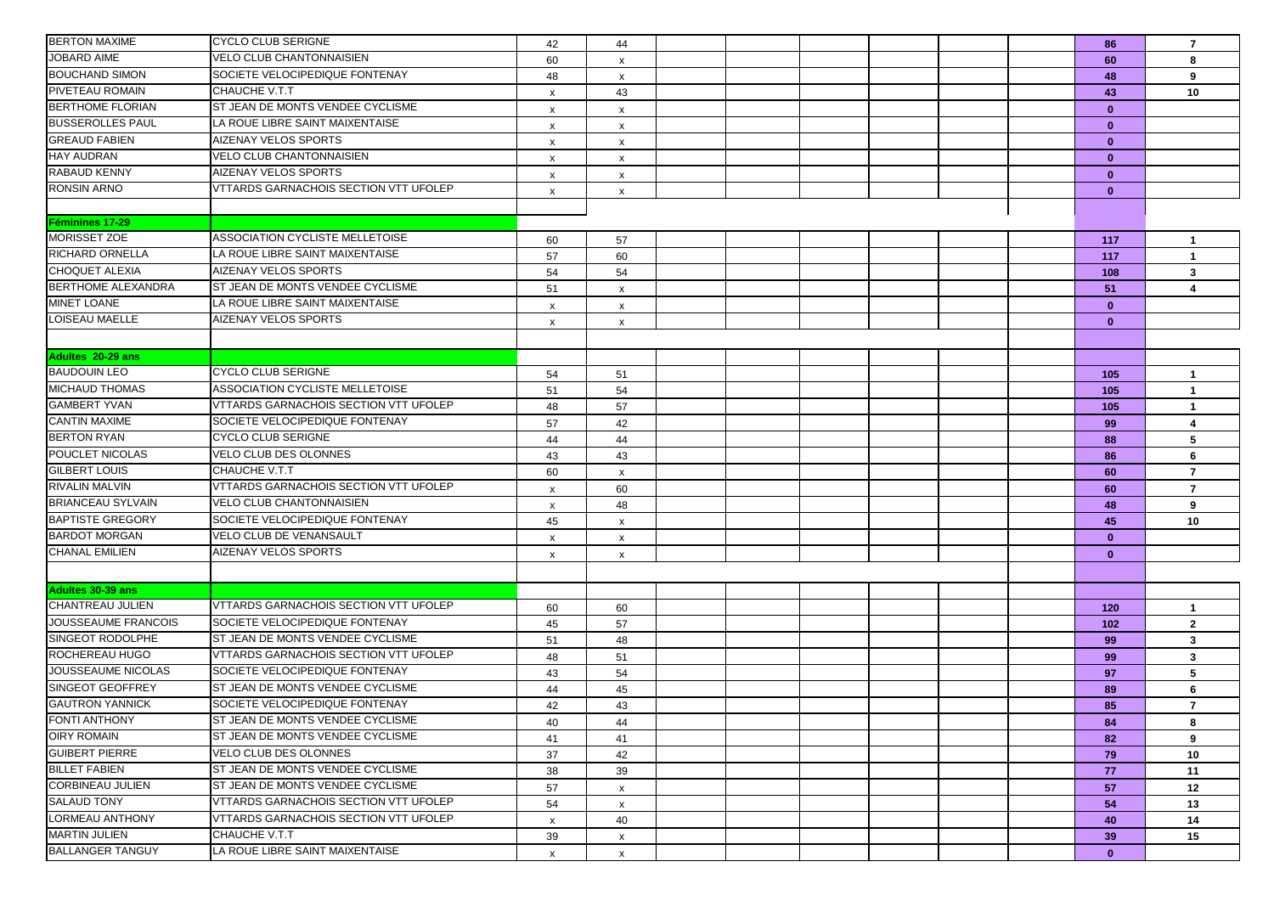| <b>BERTON MAXIME</b>      | <b>CYCLO CLUB SERIGNE</b>             | 42                        | 44                        |  |  |  | 86           | $\overline{7}$ |
|---------------------------|---------------------------------------|---------------------------|---------------------------|--|--|--|--------------|----------------|
| JOBARD AIME               | VELO CLUB CHANTONNAISIEN              | 60                        | $\boldsymbol{\mathsf{x}}$ |  |  |  | 60           | 8              |
| <b>BOUCHAND SIMON</b>     | SOCIETE VELOCIPEDIQUE FONTENAY        | 48                        | x                         |  |  |  | 48           | 9              |
| PIVETEAU ROMAIN           | <b>CHAUCHE V.T.T</b>                  | $\mathsf{x}$              | 43                        |  |  |  | 43           | 10             |
| <b>BERTHOME FLORIAN</b>   | ST JEAN DE MONTS VENDEE CYCLISME      | X                         | x                         |  |  |  | $\mathbf{0}$ |                |
| <b>BUSSEROLLES PAUL</b>   | LA ROUE LIBRE SAINT MAIXENTAISE       | x                         | X                         |  |  |  | $\mathbf{0}$ |                |
| <b>GREAUD FABIEN</b>      | AIZENAY VELOS SPORTS                  | x                         | x                         |  |  |  | $\mathbf{0}$ |                |
| <b>HAY AUDRAN</b>         | <b>VELO CLUB CHANTONNAISIEN</b>       | x                         | X                         |  |  |  | $\mathbf{0}$ |                |
| RABAUD KENNY              | AIZENAY VELOS SPORTS                  | $\mathsf{x}$              | x                         |  |  |  | $\mathbf{0}$ |                |
| <b>RONSIN ARNO</b>        | VTTARDS GARNACHOIS SECTION VTT UFOLEP | $\boldsymbol{\mathsf{x}}$ | $\pmb{\times}$            |  |  |  | $\mathbf{0}$ |                |
|                           |                                       |                           |                           |  |  |  |              |                |
| Féminines 17-29           |                                       |                           |                           |  |  |  |              |                |
| MORISSET ZOE              | ASSOCIATION CYCLISTE MELLETOISE       | 60                        | 57                        |  |  |  | 117          | $\mathbf{1}$   |
| <b>RICHARD ORNELLA</b>    | LA ROUE LIBRE SAINT MAIXENTAISE       | 57                        | 60                        |  |  |  | 117          | $\mathbf{1}$   |
| <b>CHOQUET ALEXIA</b>     | <b>AIZENAY VELOS SPORTS</b>           | 54                        | 54                        |  |  |  | 108          | $\mathbf{3}$   |
| <b>BERTHOME ALEXANDRA</b> | ST JEAN DE MONTS VENDEE CYCLISME      | 51                        | x                         |  |  |  | 51           | 4              |
| <b>MINET LOANE</b>        | LA ROUE LIBRE SAINT MAIXENTAISE       | x                         | x                         |  |  |  | $\mathbf{0}$ |                |
| LOISEAU MAELLE            | AIZENAY VELOS SPORTS                  | х                         | x                         |  |  |  | $\mathbf{0}$ |                |
|                           |                                       |                           |                           |  |  |  |              |                |
| Adultes 20-29 ans         |                                       |                           |                           |  |  |  |              |                |
| <b>BAUDOUIN LEO</b>       | <b>CYCLO CLUB SERIGNE</b>             | 54                        | 51                        |  |  |  | 105          | $\mathbf{1}$   |
| <b>MICHAUD THOMAS</b>     | ASSOCIATION CYCLISTE MELLETOISE       | 51                        | 54                        |  |  |  | 105          | $\mathbf{1}$   |
| <b>GAMBERT YVAN</b>       | VTTARDS GARNACHOIS SECTION VTT UFOLEP | 48                        | 57                        |  |  |  | 105          | $\mathbf{1}$   |
| <b>CANTIN MAXIME</b>      | SOCIETE VELOCIPEDIQUE FONTENAY        | 57                        | 42                        |  |  |  | 99           | 4              |
| <b>BERTON RYAN</b>        | <b>CYCLO CLUB SERIGNE</b>             | 44                        | 44                        |  |  |  | 88           | 5              |
| POUCLET NICOLAS           | VELO CLUB DES OLONNES                 | 43                        | 43                        |  |  |  | 86           | 6              |
| <b>GILBERT LOUIS</b>      | CHAUCHE V.T.T                         | 60                        | x                         |  |  |  | 60           | $\overline{7}$ |
| <b>RIVALIN MALVIN</b>     | VTTARDS GARNACHOIS SECTION VTT UFOLEP | x                         | 60                        |  |  |  | 60           | $\overline{7}$ |
| <b>BRIANCEAU SYLVAIN</b>  | VELO CLUB CHANTONNAISIEN              | x                         | 48                        |  |  |  | 48           | 9              |
| <b>BAPTISTE GREGORY</b>   | SOCIETE VELOCIPEDIQUE FONTENAY        | 45                        | x                         |  |  |  | 45           | 10             |
| <b>BARDOT MORGAN</b>      | VELO CLUB DE VENANSAULT               | $\boldsymbol{\mathsf{x}}$ | X                         |  |  |  | $\mathbf{0}$ |                |
| <b>CHANAL EMILIEN</b>     | AIZENAY VELOS SPORTS                  | X                         | $\pmb{\times}$            |  |  |  | $\mathbf{0}$ |                |
|                           |                                       |                           |                           |  |  |  |              |                |
| Adultes 30-39 ans         |                                       |                           |                           |  |  |  |              |                |
| CHANTREAU JULIEN          | VTTARDS GARNACHOIS SECTION VTT UFOLEP | 60                        | 60                        |  |  |  | 120          | $\mathbf{1}$   |
| JOUSSEAUME FRANCOIS       | SOCIETE VELOCIPEDIQUE FONTENAY        | 45                        | 57                        |  |  |  | 102          | $\mathbf{2}$   |
| SINGEOT RODOLPHE          | ST JEAN DE MONTS VENDEE CYCLISME      | 51                        | 48                        |  |  |  | 99           | $\mathbf{3}$   |
| ROCHEREAU HUGO            | VTTARDS GARNACHOIS SECTION VTT UFOLEP | 48                        | 51                        |  |  |  | 99           | $\mathbf{3}$   |
| JOUSSEAUME NICOLAS        | SOCIETE VELOCIPEDIQUE FONTENAY        | 43                        | 54                        |  |  |  | 97           | 5              |
| <b>SINGEOT GEOFFREY</b>   | ST JEAN DE MONTS VENDEE CYCLISME      | 44                        | 45                        |  |  |  | 89           | 6              |
| <b>GAUTRON YANNICK</b>    | SOCIETE VELOCIPEDIQUE FONTENAY        | 42                        | 43                        |  |  |  | 85           | $\overline{7}$ |
| FONTI ANTHONY             | ST JEAN DE MONTS VENDEE CYCLISME      | 40                        | 44                        |  |  |  | 84           | 8              |
| <b>OIRY ROMAIN</b>        | ST JEAN DE MONTS VENDEE CYCLISME      | 41                        | 41                        |  |  |  | 82           | 9              |
| <b>GUIBERT PIERRE</b>     | VELO CLUB DES OLONNES                 | 37                        | 42                        |  |  |  | 79           | 10             |
| <b>BILLET FABIEN</b>      | ST JEAN DE MONTS VENDEE CYCLISME      | 38                        | 39                        |  |  |  | 77           | 11             |
| <b>CORBINEAU JULIEN</b>   | ST JEAN DE MONTS VENDEE CYCLISME      | 57                        | $\mathsf{x}$              |  |  |  | 57           | 12             |
| <b>SALAUD TONY</b>        | VTTARDS GARNACHOIS SECTION VTT UFOLEP | 54                        | $\boldsymbol{\mathsf{x}}$ |  |  |  | 54           | 13             |
| LORMEAU ANTHONY           | VTTARDS GARNACHOIS SECTION VTT UFOLEP | x                         | 40                        |  |  |  | 40           | 14             |
| <b>MARTIN JULIEN</b>      | CHAUCHE V.T.T                         | 39                        | x                         |  |  |  | 39           | 15             |
| <b>BALLANGER TANGUY</b>   | LA ROUE LIBRE SAINT MAIXENTAISE       | $\mathsf{x}$              | $\mathsf{x}$              |  |  |  | $\mathbf{0}$ |                |
|                           |                                       |                           |                           |  |  |  |              |                |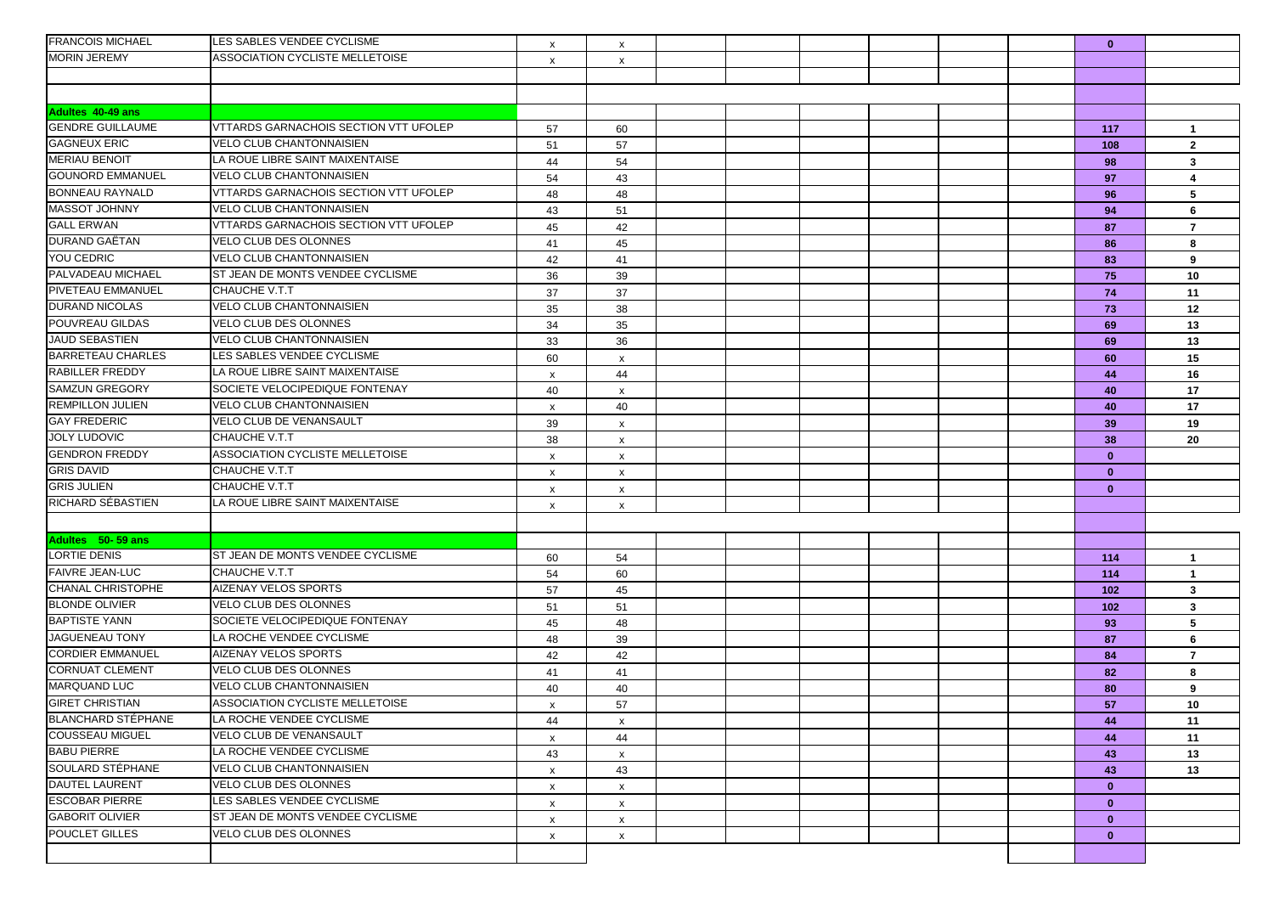| <b>FRANCOIS MICHAEL</b>   | LES SABLES VENDEE CYCLISME             | $\mathsf{x}$              | $\boldsymbol{\mathsf{x}}$ |  |  |  | $\mathbf{0}$ |                   |
|---------------------------|----------------------------------------|---------------------------|---------------------------|--|--|--|--------------|-------------------|
| <b>MORIN JEREMY</b>       | <b>ASSOCIATION CYCLISTE MELLETOISE</b> | $\boldsymbol{\mathsf{x}}$ | x                         |  |  |  |              |                   |
|                           |                                        |                           |                           |  |  |  |              |                   |
|                           |                                        |                           |                           |  |  |  |              |                   |
| <b>Adultes 40-49 ans</b>  |                                        |                           |                           |  |  |  |              |                   |
| <b>GENDRE GUILLAUME</b>   | VTTARDS GARNACHOIS SECTION VTT UFOLEP  | 57                        | 60                        |  |  |  | 117          | $\mathbf{1}$      |
| <b>GAGNEUX ERIC</b>       | VELO CLUB CHANTONNAISIEN               | 51                        | 57                        |  |  |  | 108          | $\overline{2}$    |
| <b>MERIAU BENOIT</b>      | LA ROUE LIBRE SAINT MAIXENTAISE        | 44                        | 54                        |  |  |  | 98           | 3                 |
| <b>GOUNORD EMMANUEL</b>   | VELO CLUB CHANTONNAISIEN               | 54                        | 43                        |  |  |  | 97           | 4                 |
| <b>BONNEAU RAYNALD</b>    | VTTARDS GARNACHOIS SECTION VTT UFOLEP  | 48                        | 48                        |  |  |  | 96           | 5                 |
| <b>MASSOT JOHNNY</b>      | VELO CLUB CHANTONNAISIEN               | 43                        | 51                        |  |  |  | 94           | 6                 |
| <b>GALL ERWAN</b>         | VTTARDS GARNACHOIS SECTION VTT UFOLEP  | 45                        | 42                        |  |  |  | 87           | 7                 |
| DURAND GAËTAN             | <b>VELO CLUB DES OLONNES</b>           | 41                        | 45                        |  |  |  | 86           | 8                 |
| <b>YOU CEDRIC</b>         | VELO CLUB CHANTONNAISIEN               | 42                        | 41                        |  |  |  | 83           | 9                 |
| PALVADEAU MICHAEL         | ST JEAN DE MONTS VENDEE CYCLISME       | 36                        | 39                        |  |  |  | 75           | 10                |
| PIVETEAU EMMANUEL         | CHAUCHE V.T.T                          | 37                        | 37                        |  |  |  | 74           | 11                |
| <b>DURAND NICOLAS</b>     | VELO CLUB CHANTONNAISIEN               | 35                        | 38                        |  |  |  | 73           | 12                |
| POUVREAU GILDAS           | VELO CLUB DES OLONNES                  | 34                        | 35                        |  |  |  | 69           | 13                |
| JAUD SEBASTIEN            | <b>VELO CLUB CHANTONNAISIEN</b>        | 33                        | 36                        |  |  |  | 69           | 13                |
| <b>BARRETEAU CHARLES</b>  | LES SABLES VENDEE CYCLISME             | 60                        | x                         |  |  |  | 60           | 15                |
| <b>RABILLER FREDDY</b>    | LA ROUE LIBRE SAINT MAIXENTAISE        | $\boldsymbol{\mathsf{x}}$ | 44                        |  |  |  | 44           | 16                |
| <b>SAMZUN GREGORY</b>     | SOCIETE VELOCIPEDIQUE FONTENAY         | 40                        | x                         |  |  |  | 40           | 17                |
| <b>REMPILLON JULIEN</b>   | VELO CLUB CHANTONNAISIEN               | X                         | 40                        |  |  |  | 40           | 17                |
| <b>GAY FREDERIC</b>       | VELO CLUB DE VENANSAULT                | 39                        | x                         |  |  |  | 39           | 19                |
| <b>JOLY LUDOVIC</b>       | CHAUCHE V.T.T                          | 38                        | x                         |  |  |  | 38           | 20                |
| <b>GENDRON FREDDY</b>     | ASSOCIATION CYCLISTE MELLETOISE        | $\boldsymbol{\mathsf{x}}$ | X                         |  |  |  | $\mathbf{0}$ |                   |
| <b>GRIS DAVID</b>         | CHAUCHE V.T.T                          | $\boldsymbol{\mathsf{x}}$ | $\pmb{\times}$            |  |  |  | $\mathbf{0}$ |                   |
| <b>GRIS JULIEN</b>        | CHAUCHE V.T.T                          | $\boldsymbol{\mathsf{x}}$ | $\boldsymbol{\mathsf{x}}$ |  |  |  | $\mathbf{0}$ |                   |
| RICHARD SÉBASTIEN         | LA ROUE LIBRE SAINT MAIXENTAISE        | X                         | $\boldsymbol{\mathsf{x}}$ |  |  |  |              |                   |
|                           |                                        |                           |                           |  |  |  |              |                   |
| Adultes 50-59 ans         |                                        |                           |                           |  |  |  |              |                   |
| <b>LORTIE DENIS</b>       | ST JEAN DE MONTS VENDEE CYCLISME       |                           |                           |  |  |  |              |                   |
| <b>FAIVRE JEAN-LUC</b>    | CHAUCHE V.T.T                          | 60                        | 54                        |  |  |  | 114          | $\mathbf{1}$      |
| CHANAL CHRISTOPHE         | AIZENAY VELOS SPORTS                   | 54                        | 60                        |  |  |  | 114          | $\mathbf{1}$      |
| <b>BLONDE OLIVIER</b>     | VELO CLUB DES OLONNES                  | 57                        | 45                        |  |  |  | 102          | 3                 |
| <b>BAPTISTE YANN</b>      | SOCIETE VELOCIPEDIQUE FONTENAY         | 51<br>45                  | 51<br>48                  |  |  |  | 102<br>93    | $\mathbf{3}$<br>5 |
| <b>JAGUENEAU TONY</b>     | LA ROCHE VENDEE CYCLISME               |                           |                           |  |  |  |              |                   |
| <b>CORDIER EMMANUEL</b>   | AIZENAY VELOS SPORTS                   | 48                        | 39                        |  |  |  | 87           | 6                 |
| <b>CORNUAT CLEMENT</b>    | VELO CLUB DES OLONNES                  | 42                        | 42                        |  |  |  | 84           | $\overline{7}$    |
| <b>MARQUAND LUC</b>       | <b>VELO CLUB CHANTONNAISIEN</b>        | 41                        | 41                        |  |  |  | 82           | 8                 |
| <b>GIRET CHRISTIAN</b>    | <b>ASSOCIATION CYCLISTE MELLETOISE</b> | 40                        | 40                        |  |  |  | 80           | 9                 |
| <b>BLANCHARD STEPHANE</b> | LA ROCHE VENDEE CYCLISME               | X                         | 57                        |  |  |  | 57           | 10                |
| <b>COUSSEAU MIGUEL</b>    | VELO CLUB DE VENANSAULT                | 44                        | x                         |  |  |  | 44           | 11                |
| <b>BABU PIERRE</b>        | LA ROCHE VENDEE CYCLISME               | $\boldsymbol{\mathsf{x}}$ | 44                        |  |  |  | 44           | 11                |
| SOULARD STÉPHANE          | VELO CLUB CHANTONNAISIEN               | 43                        | x                         |  |  |  | 43           | 13                |
|                           |                                        | X                         | 43                        |  |  |  | 43           | 13                |
| <b>DAUTEL LAURENT</b>     | VELO CLUB DES OLONNES                  | X                         | x                         |  |  |  | $\mathbf{0}$ |                   |
| <b>ESCOBAR PIERRE</b>     | LES SABLES VENDEE CYCLISME             | $\mathsf{x}$              | x                         |  |  |  | $\mathbf{0}$ |                   |
| <b>GABORIT OLIVIER</b>    | ST JEAN DE MONTS VENDEE CYCLISME       | $\boldsymbol{\mathsf{x}}$ | X                         |  |  |  | $\mathbf{0}$ |                   |
| <b>POUCLET GILLES</b>     | VELO CLUB DES OLONNES                  | X                         | X                         |  |  |  | $\mathbf{0}$ |                   |
|                           |                                        |                           |                           |  |  |  |              |                   |